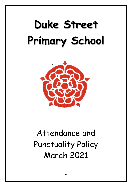# **Duke Street Primary School**



# Attendance and Punctuality Policy March 2021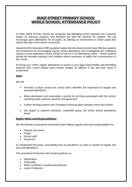## **DUKE STREET PRIMARY SCHOOL WHOLE SCHOOL ATTENDANCE POLICY**

At Duke Street Primary School we recognise that attending school regularly has a positive impact on learning, progress and therefore the best life chances for children. We will encourage good attendance for all pupils, by offering an environment in which pupils feel valued and part of the school community.

Department for Education (DfE) guidance states that all schools should have effective systems and procedures for encouraging regular school attendance and investigating the underlying causes of poor attendance which should be set out in an attendance policy. These systems should be reviewed regularly and modified where necessary to reflect the circumstances of the school.

Ensuring your child's regular attendance at school is your legal responsibility and permitting absence from school without good reason creates an offence in law and may result in prosecution.

#### **Aims:**

We will

- Promote a culture across the school which identifies the importance of regular and punctual attendance.
- Make attendance and punctuality a priority for all those associated with the school; including pupils, parents, teachers and governors.
- Further develop positive and consistent communication between home and school.
- Set targets to improve individual, vulnerable group and whole school attendance levels.

#### **Rights, Roles and Responsibilities:**

We will develop a procedural framework which defines agreed roles and responsibilities for

- Parents and carers
- Pupils
- School staff
- Governors

to complement this policy, and identify how we will deliver our aims in respect of regular and punctual attendance.

This procedural framework will include guidance on

- Registration
- Punctuality
- What constitutes unauthorised absence
- Leave of absence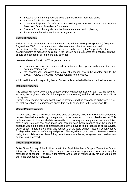- Systems for monitoring attendance and punctuality for individual pupils
- Systems for dealing with absence
- Criteria and systems for referral to and working with the Pupil Attendance Support Team and School Attendance Consultant
- Systems for monitoring whole school attendance and action planning
- Appropriate alternative curricular arrangements

#### **Leave of Absence:**

Following the September 2013 amendment to The Education (Pupil Registration) (England) Regulations 2006, schools cannot authorise any leave other than in exceptional circumstances. The Head Teacher, is the person authorised by the 'proprietor' i.e. the governing body, to make this decision. If the leave is being requested for a holiday, approval should be obtained prior to making any bookings.

Leave of absence **SHALL NOT** be granted unless:

- a request for leave has been made in advance, by a parent with whom the pupil normally resides, and
- the headteacher considers that leave of absence should be granted due to the **EXCEPTIONAL CIRCUMSTANCES** relating to the request.

Additional information regarding leave of absence is included with the procedural framework.

#### **Religious Absence:**

The school will authorise one day of absence per religious festival, e.g. Eid, (i.e. the day set aside by the religious body of which the parent is a member) and this will be marked as 'R' in the register.

Parents must request any additional leave in advance and this can only be authorised if it is felt that exceptional circumstances apply (this would be marked in the register as 'C').

#### **Use of Penalty Notices:**

In accordance with the current Lancashire code of conduct, Duke Street Primary School may request that the local authority issue penalty notices in respect of unauthorised absence. This includes leave of absence which is taken without a prior request being made; and leave taken after a prior request has been made and parents have been informed that the period of absence would be classed as unauthorised but the leave is taken regardless of this advice. Duke Street Primary School may also request that the local authority issue a penalty notice for days taken in excess of the agreed period of leave; without good reason. Parents also risk losing their child's school place if they do not return from leave, as agreed, and readmission cannot be guaranteed.

#### **Partnership Working:**

Duke Street Primary School will work with the Pupil Attendance Support Team, the School Attendance Consultant and other support agencies as appropriate to ensure regular attendance at school. The criteria for referral and areas of responsibility for staff will be set out in the procedural framework.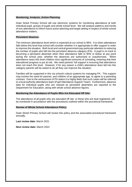#### **Monitoring, Analysis, Action Planning:**

Duke Street Primary School will use electronic systems for monitoring attendance at both individual pupil, groups of pupils and whole school level. We will analyse patterns and trends of non-attendance to inform future action planning and target setting in respect of whole school attendance matters.

#### **Persistent Absence:**

The minimum attendance level which is expected at our school is 96%. It is when attendance falls below this level that school will consider whether it is appropriate to offer support in order to improve the situation. Both local and central government pay particular attention to reducing the number of pupils who fall into the persistent absence category (PA). A pupil is on track to becoming a persistent absentee when their attendance falls to 90% or below at any point during the school year; whether the absences are authorised or unauthorised. When attendance nears this level children miss significant amounts of schooling; meaning that their educational progress is put at risk. We need parents' full support in ensuring that attendance does not reach this level. However, if for any reason a child's attendance does fall into this category parents will be asked to do all they can improve the situation.

Families will be supported in this via school's robust systems for managing PA. This support may involve the need for parents, and children of an appropriate age, to agree to a parenting contract. Due to the seriousness of PA status it is highly likely that such cases will be referred to a local authority attendance team (Pupil Attendance Support Team). Furthermore, absence data for individual pupils who are classed as persistent absentees are reported to the Department for Education; along with whole school absence figures.

#### **Monitoring the Attendance of Pupils Who Are Educated Off Site:**

The attendance of all pupils who are educated off site, or those who are dual registered, will be monitored in accordance with the procedures outlined within the procedural framework.

#### **Review of Whole School Attendance Policy:**

Duke Street Primary School will review this policy and the associated procedural framework annually.

**Last review date:** March 2021

**Next review date:** March 2022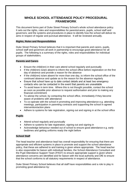### **WHOLE SCHOOL ATTENDANCE POLICY PROCEDURAL FRAMEWORK**

This document forms part of Duke Street Primary School's whole school attendance policy. It sets out the rights, roles and responsibilities for parents/carers, pupils, school staff and governors; and the systems and procedures in place to identify how the school will deliver its aims in respect of regular and punctual attendance. It will be reviewed annually.

#### **Rights, Roles and Responsibilities**

Duke Street Primary School believes that it is important that parents and carers, pupils, school staff and governors all work in partnership to encourage good attendance for all pupils. The following is a summary of the rights, roles and responsibilities for individual groups of stakeholders.

#### **Parents and Carers**

- Ensure the child(ren) in their care attend school regularly and punctually
- If the child(ren) is/are absent to inform the school office before registration on the first day of absence and provide a reason for the absence
- If the child(ren) is/are absent for more than one day, to inform the school office of the continued absence and update as to the reason for the absence regularly
- Ensure that school have up to date contact details and at least two emergency contacts who can be contacted in the event that parents are unavailable
- To avoid leave in term time. Where this is not thought possible, contact the school as soon as possible prior absence to request authorisation and prior to making any financial commitment
- To advise the school, by contacting the school office, immediately if they become aware of problems with attendance
- To co-operate with the school in promoting and improving attendance e.g. attending meetings, participation in parenting contracts and supporting the school in agreed intervention/action plans
- Adhere to systems for late registration, signing out and signing in at the school office

#### **Pupils**

- Attend school regularly and punctually
- Adhere to systems for late registration, signing out and signing in
- Acknowledge behaviour needed out of school to ensure good attendance e.g. early bedtimes and getting uniforms ready the night before

#### **School Staff**

The head teacher and attendance lead has overall responsibility for ensuring that there are appropriate and efficient systems in place to promote and support the school attendance policy, that these are adhered to and training is given where appropriate. The head teacher is also responsible for liaison with individual families, the School Attendance Consultant and the Pupil Attendance Support Team (PAST) to ensure appropriate support is given where attendance concerns are identified and for liaison with the local authority and DfE to ensure that the school conforms to all statutory requirements in respect of attendance.

Duke Street Primary School believes that all staff have responsibilities and a role to play in promoting good attendance by: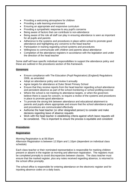- Providing a welcoming atmosphere for children
- Providing a safe learning environment
- Ensuring an appropriate and responsive curriculum
- Providing a sympathetic response to any pupil's concerns
- Being aware of factors that can contribute to non-attendance
- Being aware of the role all staff can play in ensuring attendance is seen as important for all pupils and parents
- Adherence to the systems and procedures in place within school to promote good attendance and highlighting any concerns to the head teacher
- Participation in training regarding school systems and procedures
- Willingness to communicate with children and parents about attendance
- Completion of the attendance registers in accordance with the legislation and under the direction of the head teacher

Some staff will have specific individual responsibilities to support the attendance policy and these are outlined in the procedures section of this framework.

#### **Governors**

- Ensure compliance with The Education (Pupil Registration) (England) Regulations 2006, as amended
- Adopt an attendance policy and review it annually
- Agree targets for attendance at Duke Street Primary School
- Ensure that they receive reports from the head teacher regarding school attendance and persistent absence as part of the school monitoring or school profiling exercise
- Where the school is not meeting its attendance targets, or when the governors believe there is cause for concern, to require a review of the systems and procedures in place to promote good attendance
- To promote the strong link between attendance and educational attainment to parents and pupils where appropriate and ensure that the school attendance policy and procedures are communicated effectively
- Authorise the head teacher (or other designated person) to consider and make decisions regarding leave of absence requests
- Work with the head teacher in establishing criteria against which leave requests will be considered. This is important to ensure the process is equitable and consistent

#### **Procedures:**

#### **Registration**

Morning Registration is at 08.55am Afternoon Registration is between 12.50pm and 1.10pm (dependent on individual class schedule)

Each class teacher or their nominated representative is responsible for marking children present or absent in the register at morning and afternoon registration. The registers must be completed promptly to avoid discrepancies between classes. The class teacher must ensure that the marked register, plus any notes received regarding absence, is returned to the school office promptly.

The school office is responsible for entering attendance on the electronic register and for inputting absence codes on a daily basis.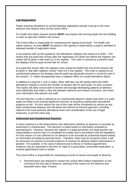#### **Late Registration**

Pupils requiring admittance to school following registration periods must go to the main entrance and request entry via the school office.

For health and safety reasons parents **MUST** accompany late arriving pupils into the building in order to sign their children into school.

The school office is responsible for maintaining the signing in/out book. For health and safety reasons, an entry **MUST** be placed in the signing in sheet before a pupil is admitted or released outside of registration times.

In accordance with current guidance, the attendance registers are closed at 9.25am. This means that any pupil who arrives after the registration at 8.55am but before the registers are closed will be given a late mark (L) in the register. This code is classed as a present mark, but displays that the pupil arrived late for school.

Any pupil who arrives after the registers have closed but before the end of the session will be given a "late after registers closed" mark (U) in the register. This code is classed as an unauthorised absence but displays that the pupil was physically present in school for part of the session. 'U' codes consequently have a negative effect on a pupil attendance figure.

In addition to using the L and U codes, office staff also use the facility within the SIMS attendance module to record the number of minutes late for each pupil, on each occasion. This facility will allow school staff to monitor and manage developing patterns of lateness more effectively and make a clear link between lateness and missed curriculum; and share such information with parents and staff.

The fact that the U code is classed as an unauthorised absence means that when it is used pupils are likely to be missing significant amounts of schooling; putting their educational progress at risk. For this reason the use of this code will be considered as serious as any other unauthorised absence and will attract the interest of external agencies, including referral to the local authority attendance team and consideration of the use of legal measures, in just the same way.

#### **Authorised and Unauthorised Absence:**

In every instance it is the head teacher who determines whether an absence is recorded as authorised or unauthorised. This decision is made based on information provided by parents/carers. However, because the register is a legal document, the head teacher has responsibility to ensure that it is completed accurately and in accordance with the legislation. For this reason it is not sufficient for an absence to be recorded as authorised based entirely on information provided by parents/carers. Therefore, there may be occasions when it will be necessary for parents to provide evidence of reasons for absence before authorisation is granted. For example, in the case of absence due to illness or medical appointment, evidence may be requested in the form of: sight of a prescription, prescribed medication, a medical appointment card or similar.

The school office is responsible for maintaining records of reason and length of absence.

• Parents/Carers are required to contact the school office before registration on the morning of the first day of absence, advising of the reason for the absence and expected return date; if known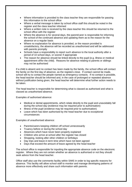- Where information is provided to the class teacher they are responsible for passing this information to the school office
- Where a verbal message is taken by school office staff this should be noted in the register and the class teacher informed
- Where a written note is received by the class teacher this should be returned to the school office with the register
- Where the absence is for several days, the parent/carer is responsible for informing the school of the continued absence and updating them as to the reason for the absence on a regular basis
- Where no explanation for absence is provided, or the reason provided is unsatisfactory, the absence will be recorded as unauthorised and will be addressed with parents promptly
- Schools have a responsibility to report such absence to the local authority after a period of 10 school days, or sooner if appropriate
- The reason for absence should be linked directly to the pupil (e.g. illness or medical appointment of/for the child). Reasons for absence relating to parents or siblings may not be authorised

If a child is absent and no contact has been made by the family, the school office will contact the family on the first day of absence, as the registers close. If contact cannot be made, school will try to contact the people named as emergency contacts. If no contact is possible, the head teacher should be informed and, in the case of prolonged or repeated absence without justification being given, the head teacher will determine what further action needs to be taken.

The head teacher is responsible for determining what is classed as authorised and what is classed as unauthorised absence.

Examples of authorised absence:

- Medical or dental appointments, which relate directly to the pupil and unavoidably fall during the school day (evidence may be required prior to authorisation)
- Illness of the pupil (evidence may be required prior to authorisation)
- Leave which has been authorised by the head teacher due to exceptional circumstances

Examples of unauthorised absence:

- Parents/carers keeping children off school unnecessarily
- Truancy before or during the school day
- Absences which have never been properly explained
- Children who arrive at school after the register has closed
- Shopping, looking after other children or birthdays
- Day trips and leave in term time which have not been agreed
- Days that exceed the amount of leave agreed by the head teacher

The school office is responsible for inputting the appropriate absence code on the electronic register. Where they are not certain whether an absence is authorised or not they should seek advice from the head teacher.

Office staff also use the comments facility within SIMS in order to log specific reasons for absence. This facility will allow school staff to monitor and manage developing patterns of absence more effectively and share such information with parents.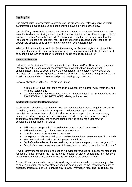#### **Signing Out**

The school office is responsible for overseeing the procedure for releasing children where parents/carers have requested and been granted leave during the school day.

The child(ren) can only be released to a parent or authorised carer/family member. When an authorised adult is picking up a child within school time the school office is responsible for ensuring that they (the authorised adult) complete and sign the school signing out system (see above for details of requirements). The school office is responsible for inputting the appropriate absence code on the electronic register, where appropriate.

When a child leaves the school site after the morning or afternoon register has been taken, the original mark must remain in the register and the signing in/out book should be referred to during an evacuation situation to ensure all pupils can be accounted for.

#### **Leave of Absence**

Following the September 2013 amendment to The Education (Pupil Registration) (England) Regulations 2006, schools cannot authorise any leave other than in exceptional circumstances. In Duke Street School the head teacher is the person authorised by the 'proprietor' i.e. the governing body, to make this decision. If the leave is being requested for a holiday, approval should be obtained prior to making any bookings.

Leave of absence **SHALL NOT** be granted unless:

- a request for leave has been made in advance, by a parent with whom the pupil normally resides, and
- the head teacher considers that leave of absence should be granted due to the **EXCEPTIONAL CIRCUMSTANCES** relating to the request.

#### **Additional Factors for Consideration**

Pupils attend school for a maximum of 190 days each academic year. Regular attendance is vital for your child's educational progress. The local authority expects that all parents/carers ensure their children attend school whenever possible. Absence during school time is largely prohibited by regulation and hinders academic progress. Even in exceptional circumstances, the following factors may be taken into account when considering an application for leave:

- Will leave at this point in time be detrimental to the pupil's education?
- Will he/she miss any national tests or examinations?
- Is his/her attendance a cause for concern?
- Is the proposed absence during the month of September or any other transition period?
- Has he/she already had leave during term time this year?
- Did he/she have leave of absence during term time in the previous school vear(s)?
- Does he/she have any absences which have been recorded as unauthorised this year?

If work commitments are stated as supporting evidence towards an exceptional reason for requesting leave, parents may be asked to provide employer details and any additional evidence which shows why leave cannot be taken during the school holidays

Parents/Carers who need to request leave during term time should complete an application form, available from the school office as soon as possible prior to the first proposed date of absence. Parents are asked to provide any relevant information regarding this request on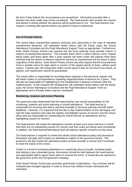the form if they believe the circumstances are exceptional. Information provided after a decision has been made may not be considered. The head teacher will consider the request and advise in writing whether the absence will be authorised or not. The head teacher may request a meeting with parents before any period of leave is authorised.

#### **Use of Penalty Notices**

The school takes unauthorised absence seriously and, particularly in the case of repeated unauthorised absences, will undertake further liaison with the family, pupil, the School Attendance Consultant and the Pupil Attendance Support Team as appropriate. Furthermore, Duke Street Primary School may request that the local authority issue penalty notices in respect of unauthorised absence. This includes leave which is taken without a prior request being made; and leave taken after a prior request has been made and parents have been informed that the period of absence would be classed as unauthorised but the leave is taken regardless of this advice. Duke Street Primary School may also request that the local authority issue a penalty notice for days taken in excess of the agreed period of leave, without good reason. Parents also risk losing their child's school place if they do not return from leave, as agreed, and readmission cannot be guaranteed.

The school office is responsible for recording leave requests in the electronic register and will retain copies of correspondence regarding requested leave of absence for 3 years. They will also be responsible for highlighting to the Headteacher if absence continues after the notified period. In this instance the Headteacher will undertake further liaison with the family, pupil, the School Attendance Consultant and the Pupil Attendance Support Team as appropriate and a Penalty Notice may be considered.

#### **Monitoring, Analysis and Action Planning**

The governors have determined that the head teacher has overall responsibility for the monitoring, analysis and action planning of school attendance. The head teacher is responsible for ensuring that data is returned promptly to the local authority and DfE within deadlines. However, it is expected that the day to day implementation of this will largely rest with the class teachers who take the register and highlight causes of concern and the school office who are responsible for maintaining the school records on attendance and for highlighting causes for concern.

The head teacher will review the attendance records at least once every half term to check that there are no outstanding causes for concern and that codes are being used consistently. In addition, the head teacher/attendance lead will address specific concerns as they arise.

The head teacher is required to review this whole school attendance policy and procedural framework annually and to report on attendance matters to the governors termly. The governors will also review the attendance policy at least annually to ensure that it continues to meet the needs of the school.

If there is a trend of worsening attendance in a particular group of pupils, including pupils who belong to any vulnerable group, discussions should be held between the head teacher and appropriate staff to agree action plans to reverse the trend. It should also be reported to the governors at the next full governor's meeting.

Duke Street Primary School also promotes good levels of attendance. Any schemes will be reviewed and changed regularly in order to ensure that children remain interested and motivated.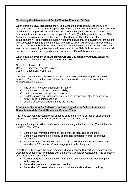#### **Monitoring the Attendance of Pupils Who Are Educated Off Site**

When pupils are **dual registered,** their registration status will acknowledge this. For sessions when a dual registered pupil is expected to attend Duke Street Primary School the usual attendance procedures will be followed. When this pupil is expected to attend the other establishment our registers will display the D code (Dual Registration). As the **Main School** we retain responsibility for dual registered pupils. Therefore, the other establishment will be contacted regularly in order to ensure that this placement continues to be successful. When this is not the case, appropriate action will be taken. In cases where we are the **Subsidiary School** our normal first day absence procedures will be used and any concerns regarding attendance will be reported to the **Main School**. In addition, we will provide other information regarding attendance to the **Main School** on request.

When pupils are **Present at an Approved Off-Site Educationally Activity** school will decide which of the following codes is most suitable:

- Code B Educated off site
- Code P Supervised sporting activity
- Code V Educational visit or trip

The head teacher is responsible for the pupil's education and wellbeing during these sessions. Therefore, before any of these codes are used school must ensure that the following criteria are met:

- $\checkmark$  The activity is broadly educational in nature
- $\checkmark$  it is suitable for the pupil's age and ability
- $\checkmark$  it will complement the pupil's curriculum
- $\checkmark$  it is taking place during the session for which the approved off-site educational activity code is being used and
- $\checkmark$  suitable supervision arrangements are in place

#### **Criteria and Systems for Referral to and Working with the School Attendance Consultant and the Pupil Attendance Support Team**

The head teacher is responsible for ensuring consistent referral of regular or unjustified absence. The criteria for referral are outlined in the systems below:

A request for support will be made to the local authority attendance team (Pupil Attendance Support Team) when:

- School have informed parents of their concerns regarding attendance
- School have attempted to employ appropriate strategies in order to improve attendance
- School strategies have failed to prompt the required amount of improvement in attendance OR parents refuse to engage with school support

In addition to the above, the head teacher and/or Attendance Support can discuss general attendance or case specific matters with the School Attendance Consultant. The purpose of such discussions would be to:

- Monitor progress towards targets, highlighting any concerns and identifying any action required
- To receive guidance on latest best practice
- To receive information about local and national trends and benchmarking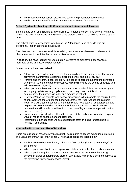- To discuss whether current attendance policy and procedures are effective
- To discuss case-specific actions and receive advice on future actions

#### **School System for Dealing with Concerns about Lateness and Absence**

School gates open at 8.45am to allow children 10 minutes transition time before Register is taken. The school day starts at 8.55am and we expect children to be settled in class by this time.

The school office is responsible for advising the Attendance Lead of pupils who are persistently late or absent as issues arise.

The class teacher is also responsible for raising concerns about lateness or absence of class members to the Attendance Lead as issues arise.

In addition, the head teacher will use electronic systems to monitor the attendance of individual pupils at least once per half term.

Once concerns have been raised:

- Attendance Lead will discuss the matter informally with the family to identify barriers preventing parents/carers getting children to school on time, every day
- Parents and children, if appropriate, will be asked to agree to a parenting contract, or take part in attendance panels/meetings, which will include the setting of targets and will be reviewed regularly
- When persistent lateness is an issue and/or parents fail to follow procedures by not accompanying late arriving pupils into school to sign them in, this will be communicated to parents via letter or a meeting in school.
- If lateness/absence persists, and school procedures fail to promote the required level of improvement, the Attendance Lead will contact the Pupil Attendance Support Team who will attend meetings with the family and head teacher as appropriate and help school determine whether any further interventions are required. These interventions will include consideration of the use of legal measures (penalty notices and prosecution)
- Direct school support will be offered to families at the earliest opportunity to explore ways of reducing absenteeism and lateness.
- Referrals to other agencies will be suggested to offer on-going targeted help to families if appropriate

#### **Alternative Provision and Use of Directions**

There are a range of reasons why pupils might be required to access educational provision at a venue other than their main school. The main reasons are listed below:

- Pupils who have been excluded, either for a fixed period (for more than 5 days) or permanently
- When a pupil is unable to access provision at their main school for medical reasons
- When a pupil is required to attend another venue for the purpose of improving behaviour; either on a temporary basis or with a view to making a permanent move to the alternative provision (managed move)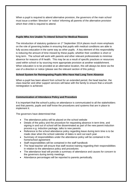When a pupil is required to attend alternative provision, the governors of the main school must issue a written 'direction' or 'notice' informing all parents of the alternative provision which their child is required to attend.

#### **Pupils Who Are Unable To Attend School for Medical Reasons**

The introduction of statutory guidance on 1<sup>st</sup> September 2014 places much more emphasis on the role of governing bodies in ensuring that pupils with medical conditions are able to fully access education in the same way as other pupils. A key element of this responsibility is reducing the amount of time missed by these pupils; whether their condition is short or long term. The school will work with parents and other relevant professionals to minimise absence for reasons of ill health. This may be as a result of specific practices or resources used within school or by sourcing more appropriate provision at another establishment. When education is to be provided at an alternative location, this will always be done via the use of a direction or notice (please see the relevant section of this policy).

#### **School System for Reintegrating Pupils Who Have Had Long Term Absence**

When a pupil has been absent from school for an extended period, the head teacher, the class teacher and other support services will liaise with the family to ensure that a smooth reintegration is achieved.

#### **Communication of Attendance Policy and Procedure**

It is important that the school's policy on attendance is communicated to all the stakeholders and that parents, pupils and staff know the procedures and systems that are in place to implement it.

The governors have determined that:

- The attendance policy will be placed on the school website
- Details of the policy and the procedure for requesting absence in term time, and signing in and out of school will be disseminated as part of the new parent induction process e.g. induction package, talks to new parents
- Reference to the school attendance policy regarding leave during term time is to be made clear when the school calendar of dates is sent out each year
- Summary of responsibilities under the attendance policy will be contained in the home/school agreement
- Staff responsibilities will be contained in the staff handbook
- The head teacher will ensure that staff receive training regarding their responsibilities in relation to the attendance policy and procedures
- The attendance lead will provide a summary of attendance and causes for concern to the governors during termly meetings.
- Attendance percentages will be reported to parents periodically.